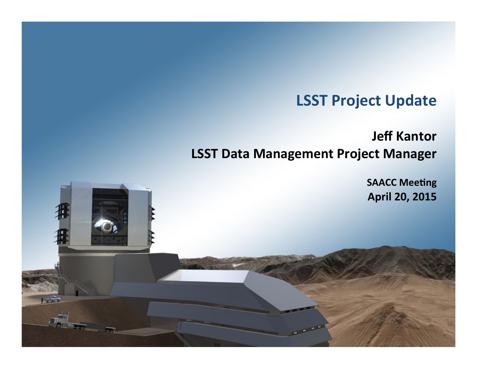# **LSST Project Update**

## **Jeff Kantor LSST Data Management Project Manager**

SAACCOMEDIAN SAACCOMEDIAN SAACCOMEDIAN SAACCOMEDIAN SAACCOMEDIAN SAACCOMEDIAN SAACCOMEDIAN SAACCOMEDIAN SAACCOMEDIAN SAACCOMEDIAN SAACCOMEDIAN SAACCOMEDIAN SAACCOMEDIAN SAACCOMEDIAN SAACCOMEDIAN SAACCOMEDIAN SAACCOMEDIAN S

**SAACC Meeting** April 20, 2015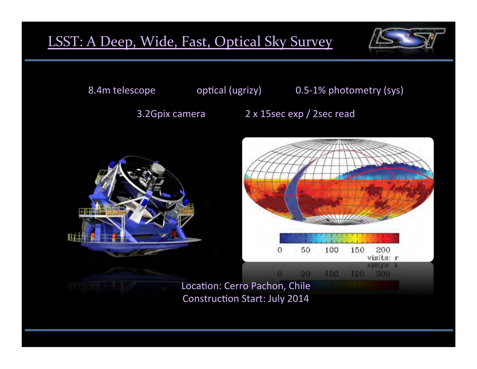# LSST: A Deep, Wide, Fast, Optical Sky Survey



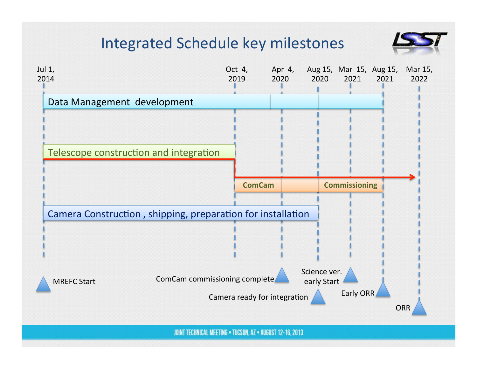# Integrated Schedule key milestones



 $\mathcal{S}_\mathcal{S}$  and  $\mathcal{S}_\mathcal{S}$  ,  $\mathcal{S}_\mathcal{S}$  ,  $\mathcal{S}_\mathcal{S}$  ,  $\mathcal{S}_\mathcal{S}$  ,  $\mathcal{S}_\mathcal{S}$  ,  $\mathcal{S}_\mathcal{S}$  ,  $\mathcal{S}_\mathcal{S}$  ,  $\mathcal{S}_\mathcal{S}$  ,  $\mathcal{S}_\mathcal{S}$  ,  $\mathcal{S}_\mathcal{S}$  ,  $\mathcal{S}_\mathcal{S}$  ,  $\mathcal{S}_\mathcal{S}$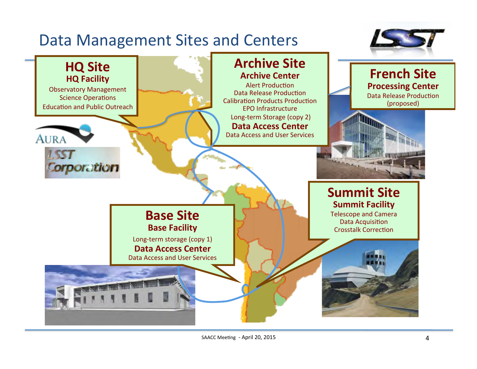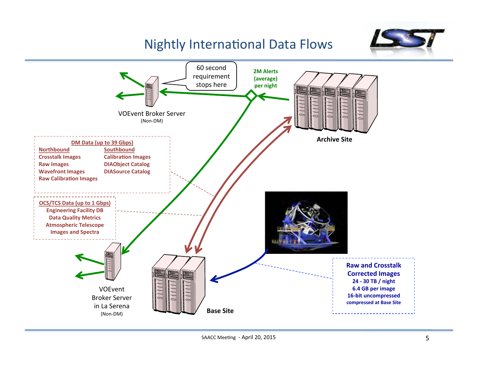# Nightly International Data Flows



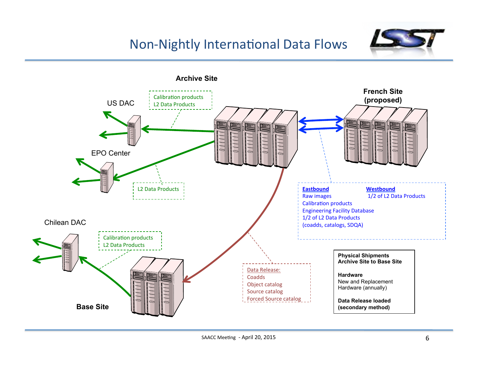### Non-Nightly International Data Flows



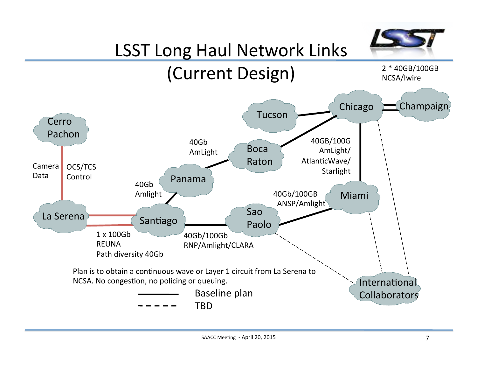

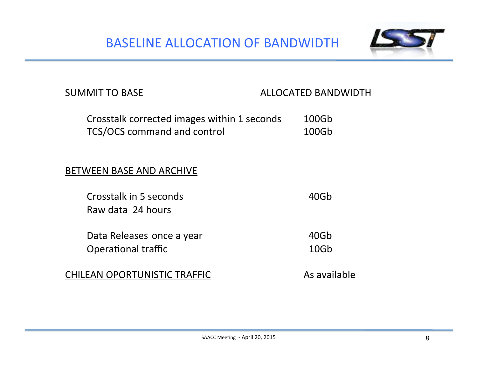BASELINE ALLOCATION OF BANDWIDTH



### SUMMIT TO BASE ALLOCATED BANDWIDTH

| Crosstalk corrected images within 1 seconds | 100Gb |
|---------------------------------------------|-------|
| TCS/OCS command and control                 | 100Gb |

### **BETWEEN BASE AND ARCHIVE**

| Crosstalk in 5 seconds | 40Gb |
|------------------------|------|
| Raw data 24 hours      |      |

Data Releases once a year **Access 20Gb** Opera(onal traffic 10Gb 

CHILEAN OPORTUNISTIC TRAFFIC **And CHILEAN** As available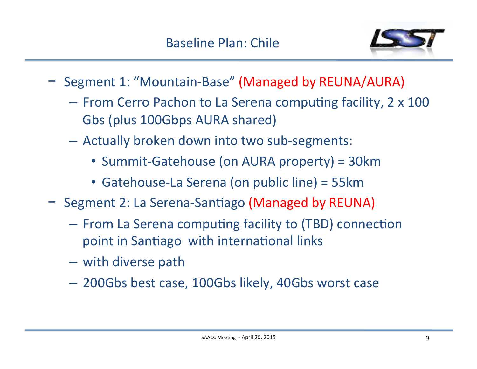

- − Segment 1: "Mountain-Base" (Managed by REUNA/AURA)
	- $-$  From Cerro Pachon to La Serena computing facility, 2  $\times$  100 Gbs (plus 100Gbps AURA shared)
	- Actually broken down into two sub-segments:
		- Summit-Gatehouse (on AURA property) = 30km
		- Gatehouse-La Serena (on public line) = 55km
- − Segment 2: La Serena-Santiago (Managed by REUNA)
	- $-$  From La Serena computing facility to (TBD) connection point in Santiago with international links
	- with diverse path
	- $-$  200Gbs best case, 100Gbs likely, 40Gbs worst case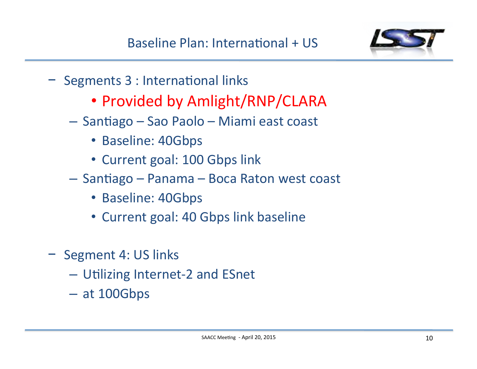

- − Segments 3 : International links
	- Provided by Amlight/RNP/CLARA
	- Santiago Sao Paolo Miami east coast
		- Baseline: 40Gbps
		- Current goal: 100 Gbps link
	- $-$  Santiago Panama Boca Raton west coast
		- Baseline: 40Gbps
		- Current goal: 40 Gbps link baseline
- − Segment 4: US links
	- Utilizing Internet-2 and ESnet
	- $-$  at 100Gbps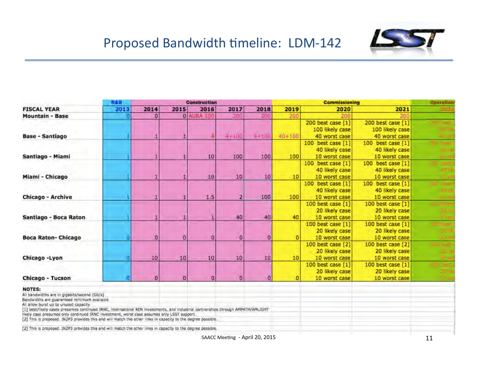

## Proposed Bandwidth timeline: LDM-142

|                                                                                                                                                                                                                                                                                                                                                                                                                                                                                                         | <b>R&amp;D</b><br><b>Construction</b> |          |          |                   |           |           | <b>Commissioning</b> |                   |                   | <b>Queration</b> |
|---------------------------------------------------------------------------------------------------------------------------------------------------------------------------------------------------------------------------------------------------------------------------------------------------------------------------------------------------------------------------------------------------------------------------------------------------------------------------------------------------------|---------------------------------------|----------|----------|-------------------|-----------|-----------|----------------------|-------------------|-------------------|------------------|
| <b>FISCAL YEAR</b>                                                                                                                                                                                                                                                                                                                                                                                                                                                                                      | 2013                                  | 2014     | 2015     | 2016              | 2017      | 2018      | 2019                 | 2020              | 2021              |                  |
| <b>Mountain - Base</b>                                                                                                                                                                                                                                                                                                                                                                                                                                                                                  |                                       | $\bf{0}$ |          | <b>0 AURA 100</b> | 200       | 200       | 20(                  |                   |                   |                  |
|                                                                                                                                                                                                                                                                                                                                                                                                                                                                                                         |                                       |          |          |                   |           |           |                      | 200 best case [1] | 200 best case [1] |                  |
|                                                                                                                                                                                                                                                                                                                                                                                                                                                                                                         |                                       |          |          |                   |           |           |                      | 100 likely case   | 100 likely case   |                  |
| <b>Base - Santiago</b>                                                                                                                                                                                                                                                                                                                                                                                                                                                                                  |                                       |          |          |                   | $4 + 100$ | $4 - 100$ | $40 + 100$           | 40 worst case     | 40 worst case     |                  |
|                                                                                                                                                                                                                                                                                                                                                                                                                                                                                                         |                                       |          |          |                   |           |           |                      | 100 best case [1] | 100 best case [1] |                  |
|                                                                                                                                                                                                                                                                                                                                                                                                                                                                                                         |                                       |          |          |                   |           |           |                      | 40 likely case    | 40 likely case    |                  |
| Santiago - Miami                                                                                                                                                                                                                                                                                                                                                                                                                                                                                        |                                       |          |          | 10                | 100       | 100       | 100                  | 10 worst case     | 10 worst case     |                  |
|                                                                                                                                                                                                                                                                                                                                                                                                                                                                                                         |                                       |          |          |                   |           |           |                      | 100 best case [1] | 100 best case [1] | 00 hes           |
|                                                                                                                                                                                                                                                                                                                                                                                                                                                                                                         |                                       |          |          |                   |           |           |                      | 40 likely case    | 40 likely case    |                  |
| Miami - Chicago                                                                                                                                                                                                                                                                                                                                                                                                                                                                                         |                                       |          |          | 10                | 10        | 10        | 10                   | 10 worst case     | 10 worst case     |                  |
|                                                                                                                                                                                                                                                                                                                                                                                                                                                                                                         |                                       |          |          |                   |           |           |                      | 100 best case [1] | 100 best case [1] | $00$ thus        |
|                                                                                                                                                                                                                                                                                                                                                                                                                                                                                                         |                                       |          |          |                   |           |           |                      | 40 likely case    | 40 likely case    | 40H              |
| Chicago - Archive                                                                                                                                                                                                                                                                                                                                                                                                                                                                                       |                                       |          |          | 1.5               |           | 100       | 100                  | 10 worst case     | 10 worst case     | $-1.0 - 10$      |
|                                                                                                                                                                                                                                                                                                                                                                                                                                                                                                         |                                       |          |          |                   |           |           |                      | 100 best case [1] | 100 best case [1] | <b>JAR heet</b>  |
|                                                                                                                                                                                                                                                                                                                                                                                                                                                                                                         |                                       |          |          |                   |           |           |                      | 20 likely case    | 20 likely case    | 201              |
| Santiago - Boca Raton                                                                                                                                                                                                                                                                                                                                                                                                                                                                                   |                                       |          |          |                   | 40        | 40        | 40                   | 10 worst case     | 10 worst case     | 10-W             |
|                                                                                                                                                                                                                                                                                                                                                                                                                                                                                                         |                                       |          |          |                   |           |           |                      | 100 best case [1] | 100 best case [1] | 100 bes          |
|                                                                                                                                                                                                                                                                                                                                                                                                                                                                                                         |                                       |          |          |                   |           |           |                      | 20 likely case    | 20 likely case    |                  |
| <b>Boca Raton- Chicago</b>                                                                                                                                                                                                                                                                                                                                                                                                                                                                              | Đ                                     | n        | $\Omega$ | $\Omega$          | 0         | o         | $\Omega$             | 10 worst case     | 10 worst case     | 10 m             |
|                                                                                                                                                                                                                                                                                                                                                                                                                                                                                                         |                                       |          |          |                   |           |           |                      | 100 best case [2] | 100 best case [2] | LUO hes          |
|                                                                                                                                                                                                                                                                                                                                                                                                                                                                                                         |                                       |          |          |                   |           |           |                      | 20 likely case    | 20 likely case    |                  |
| Chicago - Lyon                                                                                                                                                                                                                                                                                                                                                                                                                                                                                          | O                                     | 10       | 10       | 10                | 10        | 10        | 10                   | 10 worst case     | 10 worst case     |                  |
|                                                                                                                                                                                                                                                                                                                                                                                                                                                                                                         |                                       |          |          |                   |           |           |                      | 100 best case [1] | 100 best case [1] | <b>HIO DP</b>    |
|                                                                                                                                                                                                                                                                                                                                                                                                                                                                                                         |                                       |          |          |                   |           |           |                      | 20 likely case    | 20 likely case    |                  |
| Chicago - Tucson                                                                                                                                                                                                                                                                                                                                                                                                                                                                                        |                                       |          | D        | $\Omega$          | 0         |           |                      | 10 worst case     | 10 worst case     |                  |
| <b>NOTES:</b><br>All bandwidths are in gigabits/second (Gb/s)<br>Bandwidths are guaranteed minimum available<br>All allow burst up to unused capacity<br>[1] best/likely cases presumes continued IRNC, international REN investments, and industrial partnerships through AMPATH/AMLIGHT<br>likely case presumes only continued IRNC investment, worst case assumes only LSST support.<br>[2] This is proposed. IN2P3 provides this and will match the other links in capacity to the degree possible. |                                       |          |          |                   |           |           |                      |                   |                   |                  |
| [2] This is proposed. IN2P3 provides this and will match the other links in capacity to the degree possible.                                                                                                                                                                                                                                                                                                                                                                                            |                                       |          |          |                   |           |           |                      |                   |                   |                  |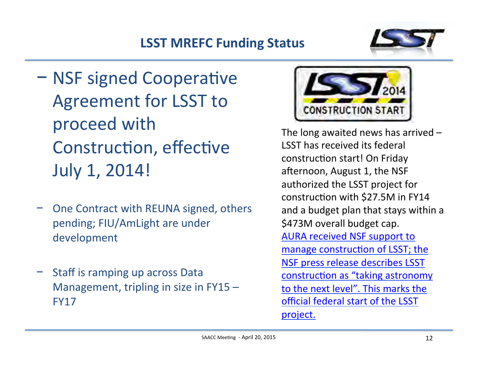# **LSST MREFC Funding Status**



- − NSF signed Cooperative Agreement for LSST to proceed with Construction, effective July 1, 2014!
- One Contract with REUNA signed, others pending; FIU/AmLight are under development
- Staff is ramping up across Data Management, tripling in size in  $FY15 -$ FY17



The long awaited news has arrived  $-$ LSST has received its federal construction start! On Friday afternoon, August 1, the NSF authorized the LSST project for construction with  $$27.5M$  in FY14 and a budget plan that stays within a \$473M overall budget cap. AURA received NSF support to manage construction of LSST; the NSF press release describes LSST construction as "taking astronomy to the next level". This marks the official federal start of the LSST project.